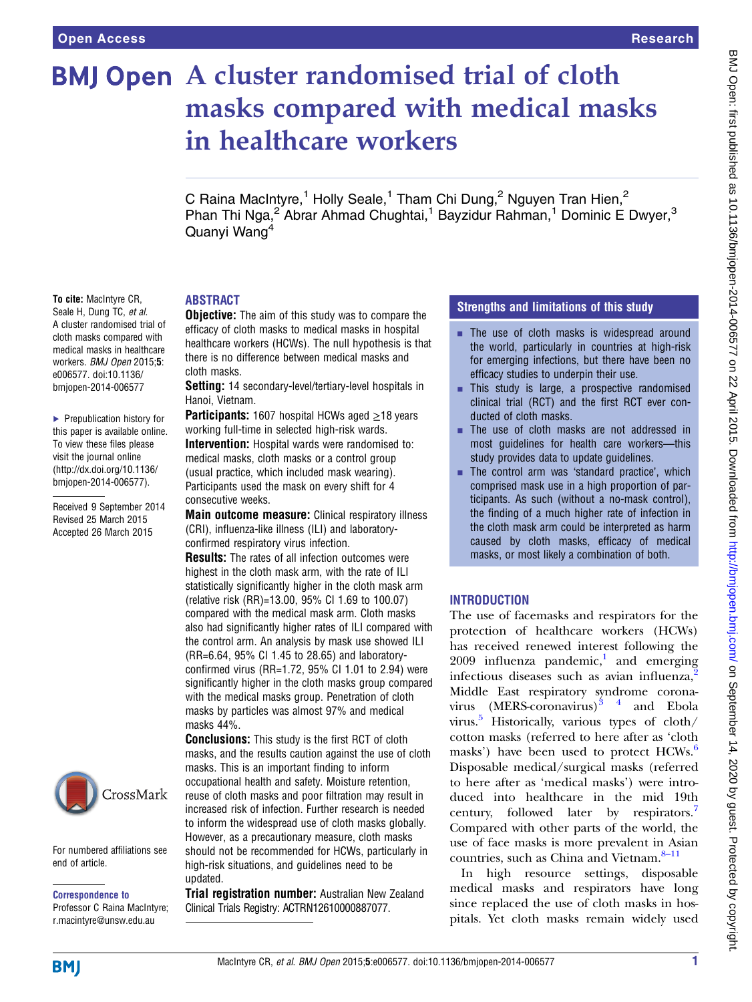To cite: MacIntyre CR, Seale H, Dung TC, et al. A cluster randomised trial of cloth masks compared with medical masks in healthcare workers. BMJ Open 2015;5: e006577. doi:10.1136/ bmjopen-2014-006577

▶ Prepublication history for this paper is available online. To view these files please visit the journal online [\(http://dx.doi.org/10.1136/](http://dx.doi.org/10.1136/bmjopen-2014-006577) [bmjopen-2014-006577](http://dx.doi.org/10.1136/bmjopen-2014-006577)).

Received 9 September 2014 Revised 25 March 2015 Accepted 26 March 2015

# **BMJ Open** A cluster randomised trial of cloth masks compared with medical masks in healthcare workers

C Raina MacIntyre,<sup>1</sup> Holly Seale,<sup>1</sup> Tham Chi Dung,<sup>2</sup> Nguyen Tran Hien,<sup>2</sup> Phan Thi Nga,<sup>2</sup> Abrar Ahmad Chughtai,<sup>1</sup> Bayzidur Rahman,<sup>1</sup> Dominic E Dwyer,<sup>3</sup> Quanyi Wang4

# ABSTRACT

**Objective:** The aim of this study was to compare the efficacy of cloth masks to medical masks in hospital healthcare workers (HCWs). The null hypothesis is that there is no difference between medical masks and cloth masks.

Setting: 14 secondary-level/tertiary-level hospitals in Hanoi, Vietnam.

**Participants:** 1607 hospital HCWs aged  $\geq$ 18 years working full-time in selected high-risk wards.

**Intervention:** Hospital wards were randomised to: medical masks, cloth masks or a control group (usual practice, which included mask wearing). Participants used the mask on every shift for 4 consecutive weeks.

Main outcome measure: Clinical respiratory illness (CRI), influenza-like illness (ILI) and laboratoryconfirmed respiratory virus infection.

**Results:** The rates of all infection outcomes were highest in the cloth mask arm, with the rate of ILI statistically significantly higher in the cloth mask arm (relative risk (RR)=13.00, 95% CI 1.69 to 100.07) compared with the medical mask arm. Cloth masks also had significantly higher rates of ILI compared with the control arm. An analysis by mask use showed ILI (RR=6.64, 95% CI 1.45 to 28.65) and laboratoryconfirmed virus (RR=1.72, 95% CI 1.01 to 2.94) were significantly higher in the cloth masks group compared with the medical masks group. Penetration of cloth masks by particles was almost 97% and medical masks 44%.

**Conclusions:** This study is the first RCT of cloth masks, and the results caution against the use of cloth masks. This is an important finding to inform occupational health and safety. Moisture retention, reuse of cloth masks and poor filtration may result in increased risk of infection. Further research is needed to inform the widespread use of cloth masks globally. However, as a precautionary measure, cloth masks should not be recommended for HCWs, particularly in high-risk situations, and guidelines need to be updated.

**Trial registration number:** Australian New Zealand Clinical Trials Registry: ACTRN12610000887077.

## Strengths and limitations of this study

- $\blacksquare$  The use of cloth masks is widespread around the world, particularly in countries at high-risk for emerging infections, but there have been no efficacy studies to underpin their use.
- **This study is large, a prospective randomised** clinical trial (RCT) and the first RCT ever conducted of cloth masks.
- The use of cloth masks are not addressed in most guidelines for health care workers—this study provides data to update guidelines.
- $\blacksquare$  The control arm was 'standard practice', which comprised mask use in a high proportion of participants. As such (without a no-mask control), the finding of a much higher rate of infection in the cloth mask arm could be interpreted as harm caused by cloth masks, efficacy of medical masks, or most likely a combination of both.

## INTRODUCTION

The use of facemasks and respirators for the protection of healthcare workers (HCWs) has received renewed interest following the  $2009$  influenza pandemic,<sup>1</sup> and emerging infectious diseases such as avian influenza,<sup>[2](#page-8-0)</sup> Middle East respiratory syndrome coronavirus  $(MERS-conavirus)^{3}$ <sup>4</sup> and Ebola virus.<sup>[5](#page-8-0)</sup> Historically, various types of cloth/ cotton masks (referred to here after as 'cloth masks') have been used to protect HCWs.<sup>[6](#page-8-0)</sup> Disposable medical/surgical masks (referred to here after as 'medical masks') were introduced into healthcare in the mid 19th century, followed later by respirators.<sup>[7](#page-8-0)</sup> Compared with other parts of the world, the use of face masks is more prevalent in Asian countries, such as China and Vietnam.<sup>8-[11](#page-8-0)</sup>

In high resource settings, disposable medical masks and respirators have long since replaced the use of cloth masks in hospitals. Yet cloth masks remain widely used

For numbered affiliations see

CrossMark

end of article.

Correspondence to Professor C Raina MacIntyre; r.macintyre@unsw.edu.au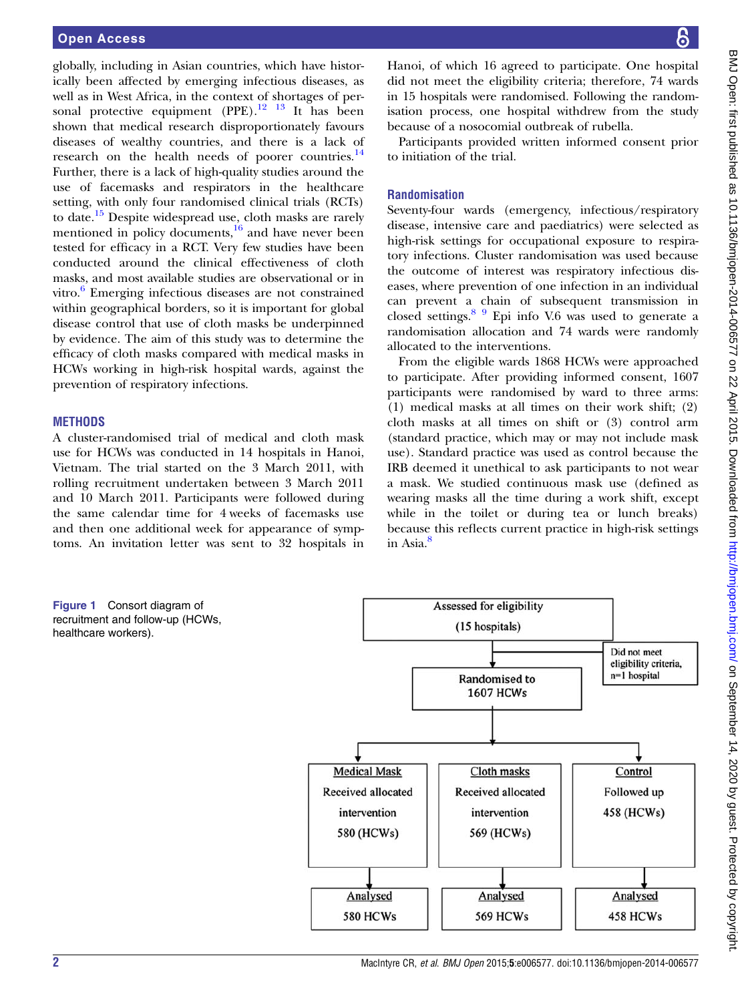<span id="page-1-0"></span>globally, including in Asian countries, which have historically been affected by emerging infectious diseases, as well as in West Africa, in the context of shortages of personal protective equipment  $(PPE).$ <sup>[12 13](#page-8-0)</sup> It has been shown that medical research disproportionately favours diseases of wealthy countries, and there is a lack of research on the health needs of poorer countries.<sup>[14](#page-8-0)</sup> Further, there is a lack of high-quality studies around the use of facemasks and respirators in the healthcare setting, with only four randomised clinical trials (RCTs) to date.<sup>[15](#page-8-0)</sup> Despite widespread use, cloth masks are rarely mentioned in policy documents, $\frac{16}{6}$  $\frac{16}{6}$  $\frac{16}{6}$  and have never been tested for efficacy in a RCT. Very few studies have been conducted around the clinical effectiveness of cloth masks, and most available studies are observational or in vitro. $6$  Emerging infectious diseases are not constrained within geographical borders, so it is important for global disease control that use of cloth masks be underpinned by evidence. The aim of this study was to determine the efficacy of cloth masks compared with medical masks in HCWs working in high-risk hospital wards, against the prevention of respiratory infections.

#### **METHODS**

A cluster-randomised trial of medical and cloth mask use for HCWs was conducted in 14 hospitals in Hanoi, Vietnam. The trial started on the 3 March 2011, with rolling recruitment undertaken between 3 March 2011 and 10 March 2011. Participants were followed during the same calendar time for 4 weeks of facemasks use and then one additional week for appearance of symptoms. An invitation letter was sent to 32 hospitals in

Hanoi, of which 16 agreed to participate. One hospital did not meet the eligibility criteria; therefore, 74 wards in 15 hospitals were randomised. Following the randomisation process, one hospital withdrew from the study because of a nosocomial outbreak of rubella.

Participants provided written informed consent prior to initiation of the trial.

## Randomisation

Seventy-four wards (emergency, infectious/respiratory disease, intensive care and paediatrics) were selected as high-risk settings for occupational exposure to respiratory infections. Cluster randomisation was used because the outcome of interest was respiratory infectious diseases, where prevention of one infection in an individual can prevent a chain of subsequent transmission in closed settings. $89$  Epi info V.6 was used to generate a randomisation allocation and 74 wards were randomly allocated to the interventions.

From the eligible wards 1868 HCWs were approached to participate. After providing informed consent, 1607 participants were randomised by ward to three arms: (1) medical masks at all times on their work shift; (2) cloth masks at all times on shift or (3) control arm (standard practice, which may or may not include mask use). Standard practice was used as control because the IRB deemed it unethical to ask participants to not wear a mask. We studied continuous mask use (defined as wearing masks all the time during a work shift, except while in the toilet or during tea or lunch breaks) because this reflects current practice in high-risk settings in Asia.<sup>[8](#page-8-0)</sup>

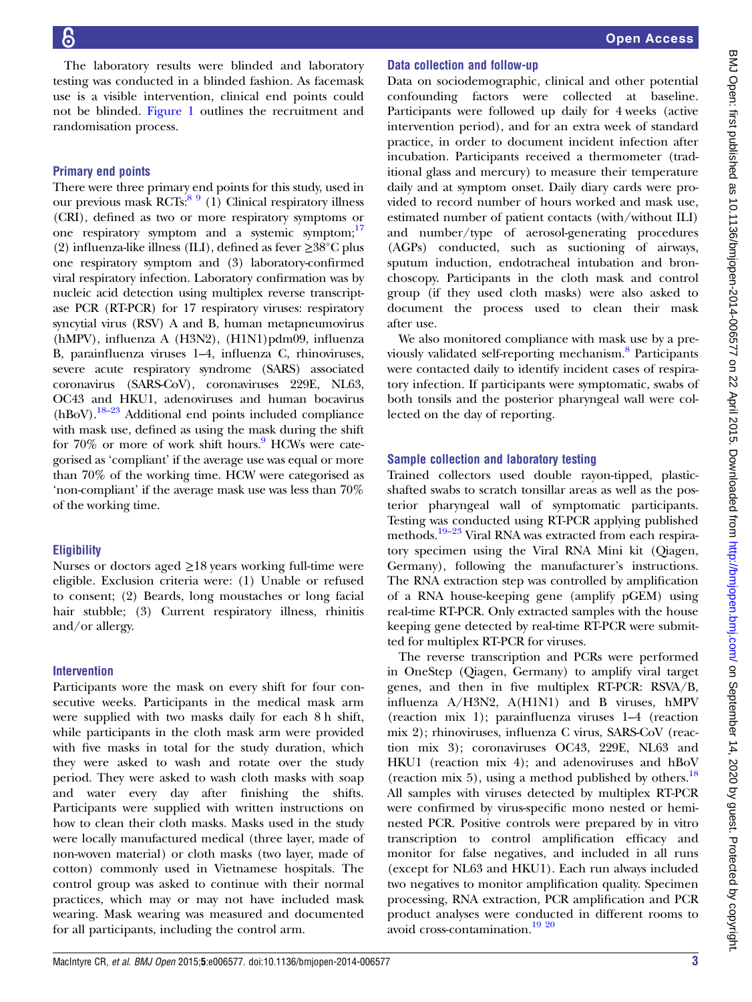The laboratory results were blinded and laboratory testing was conducted in a blinded fashion. As facemask use is a visible intervention, clinical end points could not be blinded. [Figure 1](#page-1-0) outlines the recruitment and randomisation process.

## Primary end points

There were three primary end points for this study, used in our previous mask RCTs: $89$  (1) Clinical respiratory illness (CRI), defined as two or more respiratory symptoms or one respiratory symptom and a systemic symptom;<sup>17</sup> (2) influenza-like illness (ILI), defined as fever ≥38°C plus one respiratory symptom and (3) laboratory-confirmed viral respiratory infection. Laboratory confirmation was by nucleic acid detection using multiplex reverse transcriptase PCR (RT-PCR) for 17 respiratory viruses: respiratory syncytial virus (RSV) A and B, human metapneumovirus (hMPV), influenza A (H3N2), (H1N1)pdm09, influenza B, parainfluenza viruses 1–4, influenza C, rhinoviruses, severe acute respiratory syndrome (SARS) associated coronavirus (SARS-CoV), coronaviruses 229E, NL63, OC43 and HKU1, adenoviruses and human bocavirus  $(hBoV).$ <sup>[18](#page-8-0)–23</sup> Additional end points included compliance with mask use, defined as using the mask during the shift for  $70\%$  or more of work shift hours. HCWs were categorised as 'compliant' if the average use was equal or more than 70% of the working time. HCW were categorised as 'non-compliant' if the average mask use was less than 70% of the working time.

# **Eligibility**

Nurses or doctors aged  $\geq$ 18 years working full-time were eligible. Exclusion criteria were: (1) Unable or refused to consent; (2) Beards, long moustaches or long facial hair stubble; (3) Current respiratory illness, rhinitis and/or allergy.

# Intervention

Participants wore the mask on every shift for four consecutive weeks. Participants in the medical mask arm were supplied with two masks daily for each 8 h shift, while participants in the cloth mask arm were provided with five masks in total for the study duration, which they were asked to wash and rotate over the study period. They were asked to wash cloth masks with soap and water every day after finishing the shifts. Participants were supplied with written instructions on how to clean their cloth masks. Masks used in the study were locally manufactured medical (three layer, made of non-woven material) or cloth masks (two layer, made of cotton) commonly used in Vietnamese hospitals. The control group was asked to continue with their normal practices, which may or may not have included mask wearing. Mask wearing was measured and documented for all participants, including the control arm.

# Data collection and follow-up

Data on sociodemographic, clinical and other potential confounding factors were collected at baseline. Participants were followed up daily for 4 weeks (active intervention period), and for an extra week of standard practice, in order to document incident infection after incubation. Participants received a thermometer (traditional glass and mercury) to measure their temperature daily and at symptom onset. Daily diary cards were provided to record number of hours worked and mask use, estimated number of patient contacts (with/without ILI) and number/type of aerosol-generating procedures (AGPs) conducted, such as suctioning of airways, sputum induction, endotracheal intubation and bronchoscopy. Participants in the cloth mask and control group (if they used cloth masks) were also asked to document the process used to clean their mask after use.

We also monitored compliance with mask use by a previously validated self-reporting mechanism.<sup>8</sup> Participants were contacted daily to identify incident cases of respiratory infection. If participants were symptomatic, swabs of both tonsils and the posterior pharyngeal wall were collected on the day of reporting.

# Sample collection and laboratory testing

Trained collectors used double rayon-tipped, plasticshafted swabs to scratch tonsillar areas as well as the posterior pharyngeal wall of symptomatic participants. Testing was conducted using RT-PCR applying published methods.<sup>19–[23](#page-8-0)</sup> Viral RNA was extracted from each respiratory specimen using the Viral RNA Mini kit (Qiagen, Germany), following the manufacturer's instructions. The RNA extraction step was controlled by amplification of a RNA house-keeping gene (amplify pGEM) using real-time RT-PCR. Only extracted samples with the house keeping gene detected by real-time RT-PCR were submitted for multiplex RT-PCR for viruses.

The reverse transcription and PCRs were performed in OneStep (Qiagen, Germany) to amplify viral target genes, and then in five multiplex RT-PCR: RSVA/B, influenza A/H3N2, A(H1N1) and B viruses, hMPV (reaction mix 1); parainfluenza viruses 1–4 (reaction mix 2); rhinoviruses, influenza C virus, SARS-CoV (reaction mix 3); coronaviruses OC43, 229E, NL63 and HKU1 (reaction mix 4); and adenoviruses and hBoV (reaction mix 5), using a method published by others.<sup>[18](#page-8-0)</sup> All samples with viruses detected by multiplex RT-PCR were confirmed by virus-specific mono nested or heminested PCR. Positive controls were prepared by in vitro transcription to control amplification efficacy and monitor for false negatives, and included in all runs (except for NL63 and HKU1). Each run always included two negatives to monitor amplification quality. Specimen processing, RNA extraction, PCR amplification and PCR product analyses were conducted in different rooms to avoid cross-contamination.[19 20](#page-8-0)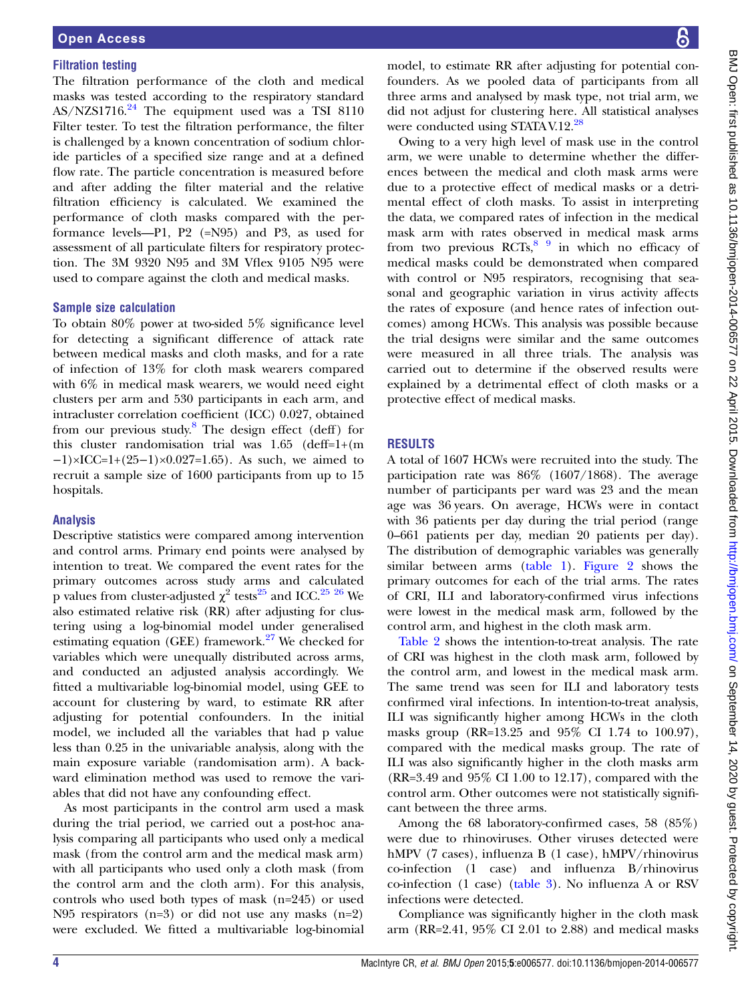#### Filtration testing

The filtration performance of the cloth and medical masks was tested according to the respiratory standard AS/NZS1716.<sup>[24](#page-8-0)</sup> The equipment used was a TSI 8110 Filter tester. To test the filtration performance, the filter is challenged by a known concentration of sodium chloride particles of a specified size range and at a defined flow rate. The particle concentration is measured before and after adding the filter material and the relative filtration efficiency is calculated. We examined the performance of cloth masks compared with the performance levels—P1, P2 (=N95) and P3, as used for assessment of all particulate filters for respiratory protection. The 3M 9320 N95 and 3M Vflex 9105 N95 were used to compare against the cloth and medical masks.

#### Sample size calculation

To obtain 80% power at two-sided 5% significance level for detecting a significant difference of attack rate between medical masks and cloth masks, and for a rate of infection of 13% for cloth mask wearers compared with 6% in medical mask wearers, we would need eight clusters per arm and 530 participants in each arm, and intracluster correlation coefficient (ICC) 0.027, obtained from our previous study.<sup>[8](#page-8-0)</sup> The design effect (deff) for this cluster randomisation trial was 1.65 (deff=1+(m  $-1$ )×ICC=1+(25–1)×0.027=1.65). As such, we aimed to recruit a sample size of 1600 participants from up to 15 hospitals.

#### Analysis

Descriptive statistics were compared among intervention and control arms. Primary end points were analysed by intention to treat. We compared the event rates for the primary outcomes across study arms and calculated p values from cluster-adjusted  $\chi^2$  tests<sup>[25](#page-8-0)</sup> and ICC.<sup>25</sup> <sup>26</sup> We also estimated relative risk (RR) after adjusting for clustering using a log-binomial model under generalised estimating equation (GEE) framework.<sup>[27](#page-8-0)</sup> We checked for variables which were unequally distributed across arms, and conducted an adjusted analysis accordingly. We fitted a multivariable log-binomial model, using GEE to account for clustering by ward, to estimate RR after adjusting for potential confounders. In the initial model, we included all the variables that had p value less than 0.25 in the univariable analysis, along with the main exposure variable (randomisation arm). A backward elimination method was used to remove the variables that did not have any confounding effect.

As most participants in the control arm used a mask during the trial period, we carried out a post-hoc analysis comparing all participants who used only a medical mask (from the control arm and the medical mask arm) with all participants who used only a cloth mask (from the control arm and the cloth arm). For this analysis, controls who used both types of mask (n=245) or used N95 respirators (n=3) or did not use any masks (n=2) were excluded. We fitted a multivariable log-binomial

model, to estimate RR after adjusting for potential confounders. As we pooled data of participants from all three arms and analysed by mask type, not trial arm, we did not adjust for clustering here. All statistical analyses were conducted using STATA V.12.<sup>[28](#page-8-0)</sup>

Owing to a very high level of mask use in the control arm, we were unable to determine whether the differences between the medical and cloth mask arms were due to a protective effect of medical masks or a detrimental effect of cloth masks. To assist in interpreting the data, we compared rates of infection in the medical mask arm with rates observed in medical mask arms from two previous  $RCTs$ ,  $89$  in which no efficacy of medical masks could be demonstrated when compared with control or N95 respirators, recognising that seasonal and geographic variation in virus activity affects the rates of exposure (and hence rates of infection outcomes) among HCWs. This analysis was possible because the trial designs were similar and the same outcomes were measured in all three trials. The analysis was carried out to determine if the observed results were explained by a detrimental effect of cloth masks or a protective effect of medical masks.

## RESULTS

A total of 1607 HCWs were recruited into the study. The participation rate was 86% (1607/1868). The average number of participants per ward was 23 and the mean age was 36 years. On average, HCWs were in contact with 36 patients per day during the trial period (range 0–661 patients per day, median 20 patients per day). The distribution of demographic variables was generally similar between arms [\(table 1](#page-4-0)). [Figure 2](#page-4-0) shows the primary outcomes for each of the trial arms. The rates of CRI, ILI and laboratory-confirmed virus infections were lowest in the medical mask arm, followed by the control arm, and highest in the cloth mask arm.

[Table 2](#page-5-0) shows the intention-to-treat analysis. The rate of CRI was highest in the cloth mask arm, followed by the control arm, and lowest in the medical mask arm. The same trend was seen for ILI and laboratory tests confirmed viral infections. In intention-to-treat analysis, ILI was significantly higher among HCWs in the cloth masks group (RR=13.25 and 95% CI 1.74 to 100.97), compared with the medical masks group. The rate of ILI was also significantly higher in the cloth masks arm (RR=3.49 and 95% CI 1.00 to 12.17), compared with the control arm. Other outcomes were not statistically significant between the three arms.

Among the 68 laboratory-confirmed cases, 58 (85%) were due to rhinoviruses. Other viruses detected were hMPV (7 cases), influenza B (1 case), hMPV/rhinovirus co-infection (1 case) and influenza B/rhinovirus co-infection (1 case) [\(table 3\)](#page-5-0). No influenza A or RSV infections were detected.

Compliance was significantly higher in the cloth mask arm (RR=2.41, 95% CI 2.01 to 2.88) and medical masks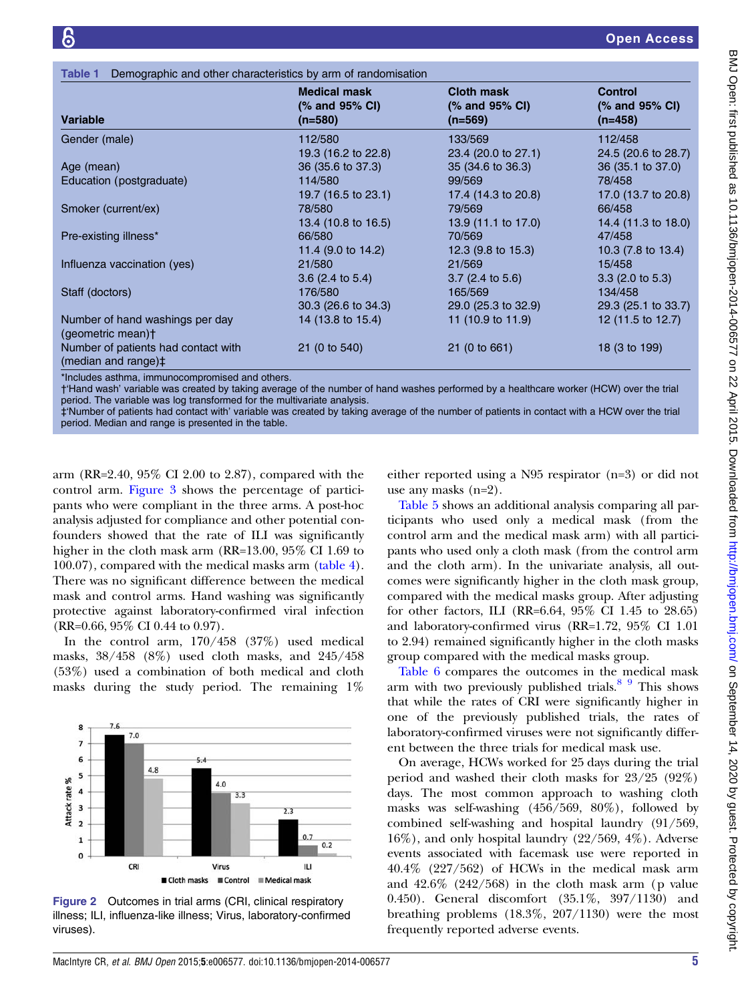<span id="page-4-0"></span>

| Demographic and other characteristics by arm of randomisation<br>Table 1 |                                                    |                                                  |                                               |  |
|--------------------------------------------------------------------------|----------------------------------------------------|--------------------------------------------------|-----------------------------------------------|--|
| <b>Variable</b>                                                          | <b>Medical mask</b><br>(% and 95% CI)<br>$(n=580)$ | <b>Cloth mask</b><br>(% and 95% CI)<br>$(n=569)$ | <b>Control</b><br>(% and 95% CI)<br>$(n=458)$ |  |
| Gender (male)                                                            | 112/580                                            | 133/569                                          | 112/458                                       |  |
|                                                                          | 19.3 (16.2 to 22.8)                                | 23.4 (20.0 to 27.1)                              | 24.5 (20.6 to 28.7)                           |  |
| Age (mean)                                                               | 36 (35.6 to 37.3)                                  | 35 (34.6 to 36.3)                                | 36 (35.1 to 37.0)                             |  |
| Education (postgraduate)                                                 | 114/580                                            | 99/569                                           | 78/458                                        |  |
|                                                                          | 19.7 (16.5 to 23.1)                                | 17.4 (14.3 to 20.8)                              | 17.0 (13.7 to 20.8)                           |  |
| Smoker (current/ex)                                                      | 78/580                                             | 79/569                                           | 66/458                                        |  |
|                                                                          | 13.4 (10.8 to 16.5)                                | 13.9 (11.1 to 17.0)                              | 14.4 (11.3 to 18.0)                           |  |
| Pre-existing illness*                                                    | 66/580                                             | 70/569                                           | 47/458                                        |  |
|                                                                          | 11.4 (9.0 to 14.2)                                 | 12.3 $(9.8 \text{ to } 15.3)$                    | 10.3 (7.8 to 13.4)                            |  |
| Influenza vaccination (yes)                                              | 21/580                                             | 21/569                                           | 15/458                                        |  |
|                                                                          | $3.6$ (2.4 to 5.4)                                 | $3.7(2.4 \text{ to } 5.6)$                       | $3.3$ (2.0 to 5.3)                            |  |
| Staff (doctors)                                                          | 176/580                                            | 165/569                                          | 134/458                                       |  |
|                                                                          | 30.3 (26.6 to 34.3)                                | 29.0 (25.3 to 32.9)                              | 29.3 (25.1 to 33.7)                           |  |
| Number of hand washings per day<br>(geometric mean)†                     | 14 (13.8 to 15.4)                                  | 11 (10.9 to 11.9)                                | 12 (11.5 to 12.7)                             |  |
| Number of patients had contact with<br>(median and range)#               | 21 (0 to 540)                                      | 21 (0 to 661)                                    | 18 (3 to 199)                                 |  |

\*Includes asthma, immunocompromised and others.

†'Hand wash' variable was created by taking average of the number of hand washes performed by a healthcare worker (HCW) over the trial period. The variable was log transformed for the multivariate analysis.

‡'Number of patients had contact with' variable was created by taking average of the number of patients in contact with a HCW over the trial period. Median and range is presented in the table.

arm (RR=2.40, 95% CI 2.00 to 2.87), compared with the control arm. [Figure 3](#page-6-0) shows the percentage of participants who were compliant in the three arms. A post-hoc analysis adjusted for compliance and other potential confounders showed that the rate of ILI was significantly higher in the cloth mask arm (RR=13.00, 95\% CI 1.69 to 100.07), compared with the medical masks arm ([table 4\)](#page-6-0). There was no significant difference between the medical mask and control arms. Hand washing was significantly protective against laboratory-confirmed viral infection (RR=0.66, 95% CI 0.44 to 0.97).

In the control arm, 170/458 (37%) used medical masks, 38/458 (8%) used cloth masks, and 245/458 (53%) used a combination of both medical and cloth masks during the study period. The remaining 1%



Figure 2 Outcomes in trial arms (CRI, clinical respiratory illness; ILI, influenza-like illness; Virus, laboratory-confirmed viruses).

either reported using a N95 respirator (n=3) or did not use any masks (n=2).

[Table 5](#page-7-0) shows an additional analysis comparing all participants who used only a medical mask (from the control arm and the medical mask arm) with all participants who used only a cloth mask ( from the control arm and the cloth arm). In the univariate analysis, all outcomes were significantly higher in the cloth mask group, compared with the medical masks group. After adjusting for other factors, ILI (RR=6.64, 95% CI 1.45 to 28.65) and laboratory-confirmed virus (RR=1.72, 95% CI 1.01 to 2.94) remained significantly higher in the cloth masks group compared with the medical masks group.

[Table 6](#page-7-0) compares the outcomes in the medical mask arm with two previously published trials. $89$  This shows that while the rates of CRI were significantly higher in one of the previously published trials, the rates of laboratory-confirmed viruses were not significantly different between the three trials for medical mask use.

On average, HCWs worked for 25 days during the trial period and washed their cloth masks for 23/25 (92%) days. The most common approach to washing cloth masks was self-washing (456/569, 80%), followed by combined self-washing and hospital laundry (91/569, 16%), and only hospital laundry (22/569, 4%). Adverse events associated with facemask use were reported in 40.4% (227/562) of HCWs in the medical mask arm and 42.6% (242/568) in the cloth mask arm (p value 0.450). General discomfort (35.1%, 397/1130) and breathing problems (18.3%, 207/1130) were the most frequently reported adverse events.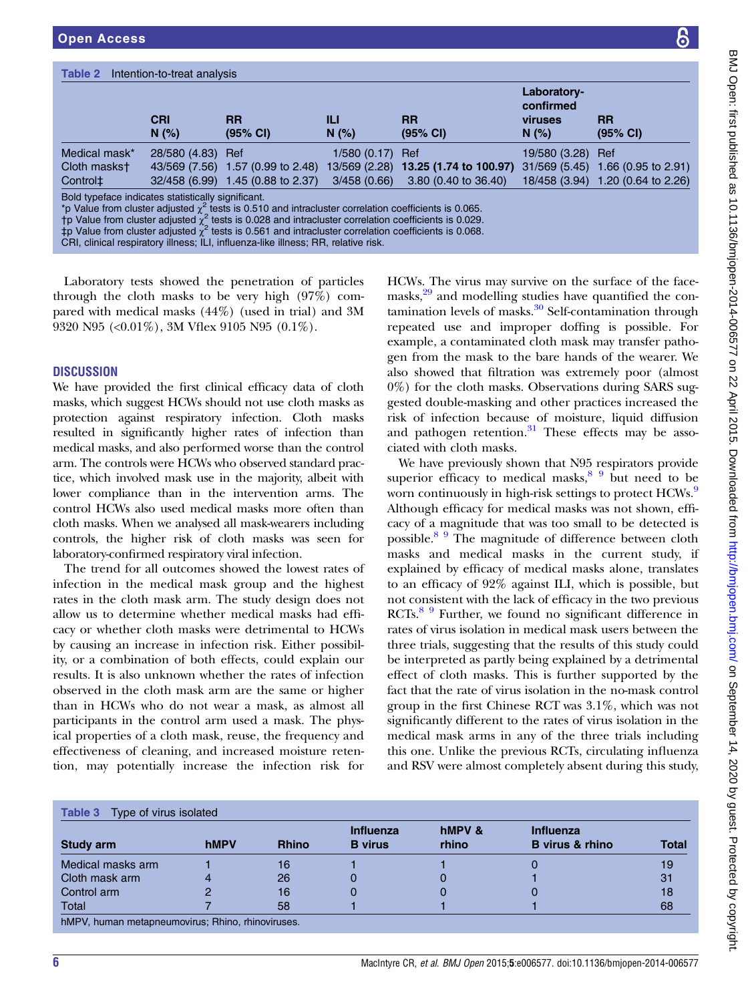<span id="page-5-0"></span>

| Table 2<br>Intention-to-treat analysis             |                     |                                                                                                                                                                                                                                                                                                                                                  |                   |                                             |                                              |                                   |  |
|----------------------------------------------------|---------------------|--------------------------------------------------------------------------------------------------------------------------------------------------------------------------------------------------------------------------------------------------------------------------------------------------------------------------------------------------|-------------------|---------------------------------------------|----------------------------------------------|-----------------------------------|--|
|                                                    | <b>CRI</b><br>N(% ) | RR<br>(95% CI)                                                                                                                                                                                                                                                                                                                                   | Ш<br>N(% )        | <b>RR</b><br>(95% Cl)                       | Laboratory-<br>confirmed<br>viruses<br>N(% ) | <b>RR</b><br>$(95% \text{ Cl})$   |  |
| Medical mask*                                      | 28/580 (4.83) Ref   |                                                                                                                                                                                                                                                                                                                                                  | $1/580(0.17)$ Ref |                                             | 19/580 (3.28) Ref                            |                                   |  |
| Cloth maskst                                       | 43/569 (7.56)       | 1.57 (0.99 to 2.48)                                                                                                                                                                                                                                                                                                                              |                   | 13/569 (2.28) <b>13.25 (1.74 to 100.97)</b> |                                              | 31/569 (5.45) 1.66 (0.95 to 2.91) |  |
| Control <sup>±</sup>                               | 32/458 (6.99)       | 1.45 (0.88 to 2.37)                                                                                                                                                                                                                                                                                                                              | 3/458(0.66)       | $3.80$ (0.40 to 36.40)                      |                                              | 18/458 (3.94) 1.20 (0.64 to 2.26) |  |
| Bold typeface indicates statistically significant. |                     | *p Value from cluster adjusted $\chi^2$ tests is 0.510 and intracluster correlation coefficients is 0.065.<br>$\uparrow$ p Value from cluster adjusted $\chi^2$ tests is 0.028 and intracluster correlation coefficients is 0.029.<br>‡p Value from cluster adjusted $\chi^2$ tests is 0.561 and intracluster correlation coefficients is 0.068. |                   |                                             |                                              |                                   |  |

CRI, clinical respiratory illness; ILI, influenza-like illness; RR, relative risk.

Laboratory tests showed the penetration of particles through the cloth masks to be very high (97%) compared with medical masks (44%) (used in trial) and 3M 9320 N95 (<0.01%), 3M Vflex 9105 N95 (0.1%).

## **DISCUSSION**

We have provided the first clinical efficacy data of cloth masks, which suggest HCWs should not use cloth masks as protection against respiratory infection. Cloth masks resulted in significantly higher rates of infection than medical masks, and also performed worse than the control arm. The controls were HCWs who observed standard practice, which involved mask use in the majority, albeit with lower compliance than in the intervention arms. The control HCWs also used medical masks more often than cloth masks. When we analysed all mask-wearers including controls, the higher risk of cloth masks was seen for laboratory-confirmed respiratory viral infection.

The trend for all outcomes showed the lowest rates of infection in the medical mask group and the highest rates in the cloth mask arm. The study design does not allow us to determine whether medical masks had efficacy or whether cloth masks were detrimental to HCWs by causing an increase in infection risk. Either possibility, or a combination of both effects, could explain our results. It is also unknown whether the rates of infection observed in the cloth mask arm are the same or higher than in HCWs who do not wear a mask, as almost all participants in the control arm used a mask. The physical properties of a cloth mask, reuse, the frequency and effectiveness of cleaning, and increased moisture retention, may potentially increase the infection risk for

HCWs. The virus may survive on the surface of the face-masks,<sup>[29](#page-8-0)</sup> and modelling studies have quantified the contamination levels of masks. $30$  Self-contamination through repeated use and improper doffing is possible. For example, a contaminated cloth mask may transfer pathogen from the mask to the bare hands of the wearer. We also showed that filtration was extremely poor (almost 0%) for the cloth masks. Observations during SARS suggested double-masking and other practices increased the risk of infection because of moisture, liquid diffusion and pathogen retention. $31$  These effects may be associated with cloth masks.

We have previously shown that N95 respirators provide superior efficacy to medical masks, $8\frac{9}{9}$  but need to be worn continuously in high-risk settings to protect HCWs.<sup>[9](#page-8-0)</sup> Although efficacy for medical masks was not shown, efficacy of a magnitude that was too small to be detected is possible.[8 9](#page-8-0) The magnitude of difference between cloth masks and medical masks in the current study, if explained by efficacy of medical masks alone, translates to an efficacy of 92% against ILI, which is possible, but not consistent with the lack of efficacy in the two previous RCTs.<sup>[8 9](#page-8-0)</sup> Further, we found no significant difference in rates of virus isolation in medical mask users between the three trials, suggesting that the results of this study could be interpreted as partly being explained by a detrimental effect of cloth masks. This is further supported by the fact that the rate of virus isolation in the no-mask control group in the first Chinese RCT was 3.1%, which was not significantly different to the rates of virus isolation in the medical mask arms in any of the three trials including this one. Unlike the previous RCTs, circulating influenza and RSV were almost completely absent during this study,

|                   |             |              | <b>Influenza</b> | hMPV & | <b>Influenza</b>       |              |
|-------------------|-------------|--------------|------------------|--------|------------------------|--------------|
| Study arm         | <b>hMPV</b> | <b>Rhino</b> | <b>B</b> virus   | rhino  | <b>B</b> virus & rhino | <b>Total</b> |
| Medical masks arm |             | 16           |                  |        | U                      | 19           |
| Cloth mask arm    |             | 26           |                  |        |                        | 31           |
| Control arm       |             | 16           |                  |        |                        | 18           |
| Total             |             | 58           |                  |        |                        | 68           |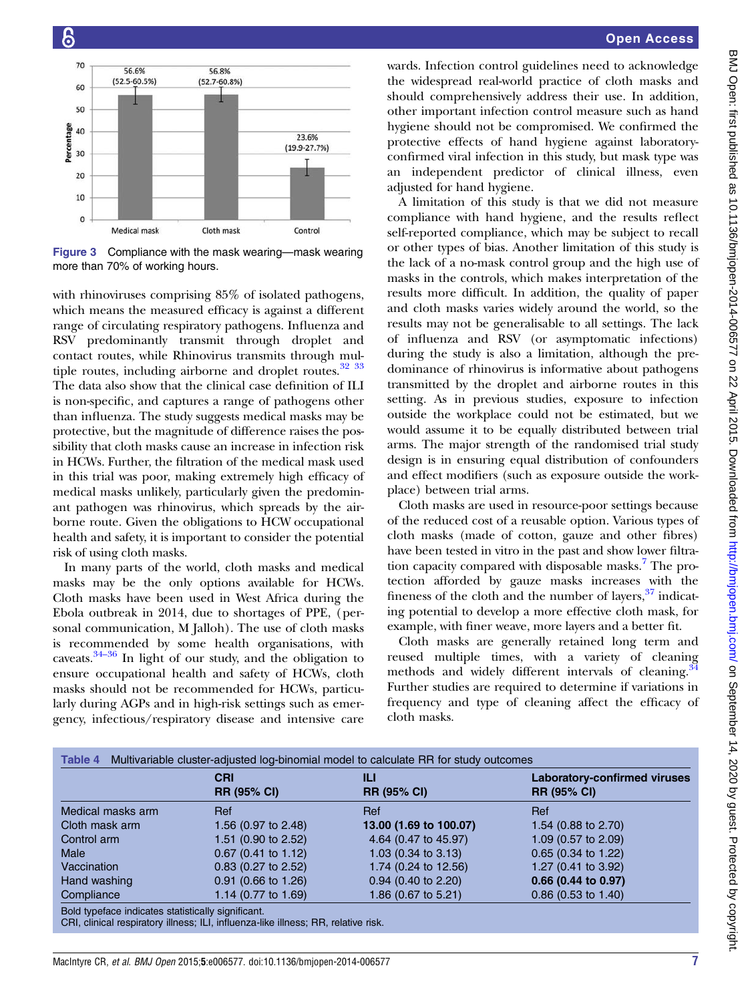<span id="page-6-0"></span>

Figure 3 Compliance with the mask wearing—mask wearing more than 70% of working hours.

with rhinoviruses comprising 85% of isolated pathogens, which means the measured efficacy is against a different range of circulating respiratory pathogens. Influenza and RSV predominantly transmit through droplet and contact routes, while Rhinovirus transmits through multiple routes, including airborne and droplet routes.<sup>32</sup> <sup>33</sup> The data also show that the clinical case definition of ILI is non-specific, and captures a range of pathogens other than influenza. The study suggests medical masks may be protective, but the magnitude of difference raises the possibility that cloth masks cause an increase in infection risk in HCWs. Further, the filtration of the medical mask used in this trial was poor, making extremely high efficacy of medical masks unlikely, particularly given the predominant pathogen was rhinovirus, which spreads by the airborne route. Given the obligations to HCW occupational health and safety, it is important to consider the potential risk of using cloth masks.

In many parts of the world, cloth masks and medical masks may be the only options available for HCWs. Cloth masks have been used in West Africa during the Ebola outbreak in 2014, due to shortages of PPE, (personal communication, M Jalloh). The use of cloth masks is reco[mme](#page-8-0)nded by some health organisations, with caveats.34–<sup>36</sup> In light of our study, and the obligation to ensure occupational health and safety of HCWs, cloth masks should not be recommended for HCWs, particularly during AGPs and in high-risk settings such as emergency, infectious/respiratory disease and intensive care

wards. Infection control guidelines need to acknowledge the widespread real-world practice of cloth masks and should comprehensively address their use. In addition, other important infection control measure such as hand hygiene should not be compromised. We confirmed the protective effects of hand hygiene against laboratoryconfirmed viral infection in this study, but mask type was an independent predictor of clinical illness, even adjusted for hand hygiene.

A limitation of this study is that we did not measure compliance with hand hygiene, and the results reflect self-reported compliance, which may be subject to recall or other types of bias. Another limitation of this study is the lack of a no-mask control group and the high use of masks in the controls, which makes interpretation of the results more difficult. In addition, the quality of paper and cloth masks varies widely around the world, so the results may not be generalisable to all settings. The lack of influenza and RSV (or asymptomatic infections) during the study is also a limitation, although the predominance of rhinovirus is informative about pathogens transmitted by the droplet and airborne routes in this setting. As in previous studies, exposure to infection outside the workplace could not be estimated, but we would assume it to be equally distributed between trial arms. The major strength of the randomised trial study design is in ensuring equal distribution of confounders and effect modifiers (such as exposure outside the workplace) between trial arms.

Cloth masks are used in resource-poor settings because of the reduced cost of a reusable option. Various types of cloth masks (made of cotton, gauze and other fibres) have been tested in vitro in the past and show lower filtra-tion capacity compared with disposable masks.<sup>[7](#page-8-0)</sup> The protection afforded by gauze masks increases with the fineness of the cloth and the number of layers,  $37$  indicating potential to develop a more effective cloth mask, for example, with finer weave, more layers and a better fit.

Cloth masks are generally retained long term and reused multiple times, with a variety of cleaning methods and widely different intervals of cleaning.<sup>[34](#page-8-0)</sup> Further studies are required to determine if variations in frequency and type of cleaning affect the efficacy of cloth masks.

|                   | <b>CRI</b><br><b>RR (95% CI)</b> | ILI<br><b>RR (95% CI)</b>      | <b>Laboratory-confirmed viruses</b><br><b>RR (95% CI)</b> |
|-------------------|----------------------------------|--------------------------------|-----------------------------------------------------------|
|                   |                                  |                                |                                                           |
| Medical masks arm | Ref                              | Ref                            | Ref                                                       |
| Cloth mask arm    | 1.56 (0.97 to 2.48)              | 13.00 (1.69 to 100.07)         | 1.54 (0.88 to 2.70)                                       |
| Control arm       | 1.51 (0.90 to 2.52)              | 4.64 (0.47 to 45.97)           | 1.09 (0.57 to 2.09)                                       |
| Male              | $0.67$ (0.41 to 1.12)            | 1.03 $(0.34 \text{ to } 3.13)$ | $0.65$ (0.34 to 1.22)                                     |
| Vaccination       | $0.83$ (0.27 to 2.52)            | 1.74 (0.24 to 12.56)           | 1.27 (0.41 to 3.92)                                       |
| Hand washing      | $0.91$ (0.66 to 1.26)            | $0.94$ (0.40 to 2.20)          | 0.66 (0.44 to 0.97)                                       |
| Compliance        | 1.14 (0.77 to 1.69)              | 1.86 (0.67 to 5.21)            | $0.86$ (0.53 to 1.40)                                     |

CRI, clinical respiratory illness; ILI, influenza-like illness; RR, relative risk.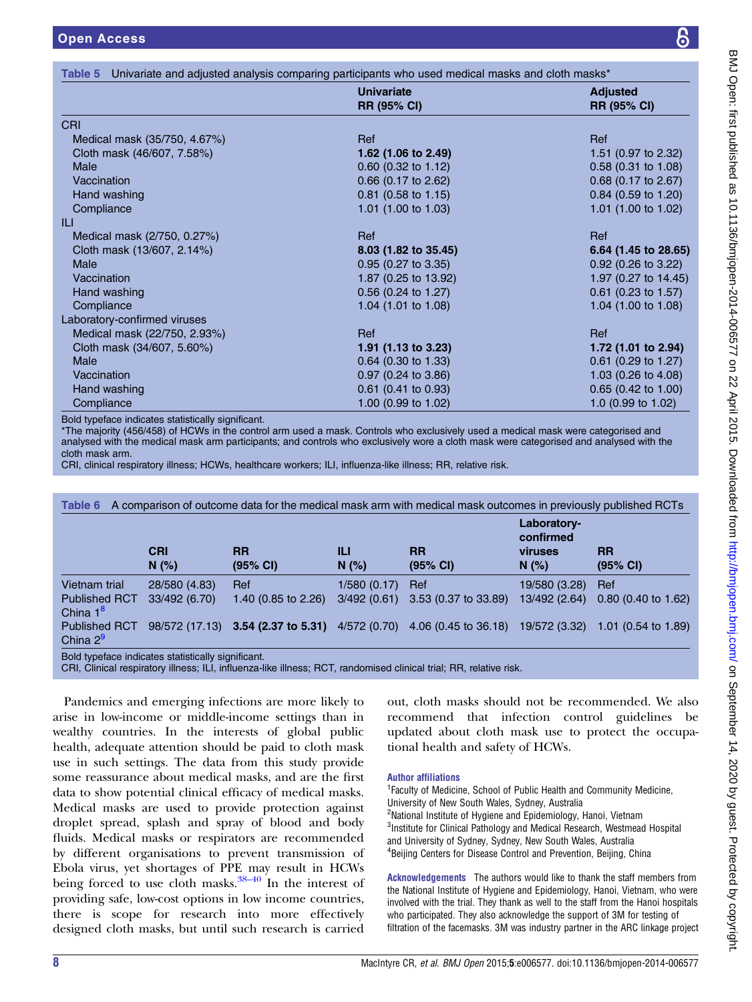<span id="page-7-0"></span>

|                              | <b>Univariate</b><br><b>RR (95% CI)</b> | <b>Adjusted</b><br><b>RR (95% CI)</b> |
|------------------------------|-----------------------------------------|---------------------------------------|
| <b>CRI</b>                   |                                         |                                       |
| Medical mask (35/750, 4.67%) | Ref                                     | Ref                                   |
| Cloth mask (46/607, 7.58%)   | 1.62 (1.06 to 2.49)                     | 1.51 (0.97 to 2.32)                   |
| Male                         | $0.60$ (0.32 to 1.12)                   | $0.58(0.31)$ to 1.08)                 |
| Vaccination                  | $0.66$ (0.17 to 2.62)                   | $0.68$ (0.17 to 2.67)                 |
| Hand washing                 | 0.81 (0.58 to 1.15)                     | 0.84 (0.59 to 1.20)                   |
| Compliance                   | 1.01 (1.00 to 1.03)                     | 1.01 $(1.00 \text{ to } 1.02)$        |
|                              |                                         |                                       |
| Medical mask (2/750, 0.27%)  | Ref                                     | Ref                                   |
| Cloth mask (13/607, 2.14%)   | 8.03 (1.82 to 35.45)                    | 6.64 (1.45 to 28.65)                  |
| <b>Male</b>                  | $0.95$ (0.27 to 3.35)                   | $0.92$ (0.26 to 3.22)                 |
| Vaccination                  | 1.87 (0.25 to 13.92)                    | 1.97 (0.27 to 14.45)                  |
| Hand washing                 | $0.56$ (0.24 to 1.27)                   | $0.61$ (0.23 to 1.57)                 |
| Compliance                   | 1.04 (1.01 to 1.08)                     | 1.04 $(1.00 \text{ to } 1.08)$        |
| Laboratory-confirmed viruses |                                         |                                       |
| Medical mask (22/750, 2.93%) | Ref                                     | Ref                                   |
| Cloth mask (34/607, 5.60%)   | 1.91 (1.13 to 3.23)                     | 1.72 (1.01 to 2.94)                   |
| Male                         | $0.64$ (0.30 to 1.33)                   | $0.61$ (0.29 to 1.27)                 |
| Vaccination                  | $0.97$ (0.24 to 3.86)                   | 1.03 $(0.26 \text{ to } 4.08)$        |
| Hand washing                 | $0.61$ (0.41 to 0.93)                   | 0.65 (0.42 to 1.00)                   |
| Compliance                   | 1.00 (0.99 to 1.02)                     | 1.0 (0.99 to 1.02)                    |

Bold typeface indicates statistically significant.

\*The majority (456/458) of HCWs in the control arm used a mask. Controls who exclusively used a medical mask were categorised and analysed with the medical mask arm participants; and controls who exclusively wore a cloth mask were categorised and analysed with the cloth mask arm.

CRI, clinical respiratory illness; HCWs, healthcare workers; ILI, influenza-like illness; RR, relative risk.

| A comparison of outcome data for the medical mask arm with medical mask outcomes in previously published RCTs<br>Table 6 |                    |                                    |              |                       |                                                     |                                |
|--------------------------------------------------------------------------------------------------------------------------|--------------------|------------------------------------|--------------|-----------------------|-----------------------------------------------------|--------------------------------|
|                                                                                                                          | <b>CRI</b><br>N(%) | <b>RR</b><br>(95% CI)              | Ш<br>N(% )   | <b>RR</b><br>(95% CI) | Laboratory-<br>confirmed<br><b>viruses</b><br>N(% ) | <b>RR</b><br>(95% CI)          |
| Vietnam trial                                                                                                            | 28/580 (4.83)      | Ref                                | 1/580(0.17)  | Ref                   | 19/580 (3.28)                                       | Ref                            |
| <b>Published RCT</b><br>China $1^8$                                                                                      | 33/492 (6.70)      | 1.40 (0.85 to 2.26)                | 3/492(0.61)  | 3.53 (0.37 to 33.89)  | 13/492 (2.64)                                       | $0.80$ (0.40 to 1.62)          |
| <b>Published RCT</b><br>China $2^9$                                                                                      |                    | 98/572 (17.13) 3.54 (2.37 to 5.31) | 4/572 (0.70) | 4.06 (0.45 to 36.18)  | 19/572 (3.32)                                       | 1.01 $(0.54 \text{ to } 1.89)$ |
| Bold typeface indicates statistically significant.                                                                       |                    |                                    |              |                       |                                                     |                                |

CRI, Clinical respiratory illness; ILI, influenza-like illness; RCT, randomised clinical trial; RR, relative risk.

Pandemics and emerging infections are more likely to arise in low-income or middle-income settings than in wealthy countries. In the interests of global public health, adequate attention should be paid to cloth mask use in such settings. The data from this study provide some reassurance about medical masks, and are the first data to show potential clinical efficacy of medical masks. Medical masks are used to provide protection against droplet spread, splash and spray of blood and body fluids. Medical masks or respirators are recommended by different organisations to prevent transmission of Ebola virus, yet shortages of PP[E ma](#page-9-0)y result in HCWs being forced to use cloth masks. $38-40$  In the interest of providing safe, low-cost options in low income countries, there is scope for research into more effectively designed cloth masks, but until such research is carried

out, cloth masks should not be recommended. We also recommend that infection control guidelines be updated about cloth mask use to protect the occupational health and safety of HCWs.

#### Author affiliations

<sup>1</sup> Faculty of Medicine, School of Public Health and Community Medicine, University of New South Wales, Sydney, Australia <sup>2</sup>National Institute of Hygiene and Epidemiology, Hanoi, Vietnam <sup>3</sup>Institute for Clinical Pathology and Medical Research, Westmead Hospital and University of Sydney, Sydney, New South Wales, Australia 4 Beijing Centers for Disease Control and Prevention, Beijing, China

Acknowledgements The authors would like to thank the staff members from the National Institute of Hygiene and Epidemiology, Hanoi, Vietnam, who were involved with the trial. They thank as well to the staff from the Hanoi hospitals who participated. They also acknowledge the support of 3M for testing of filtration of the facemasks. 3M was industry partner in the ARC linkage project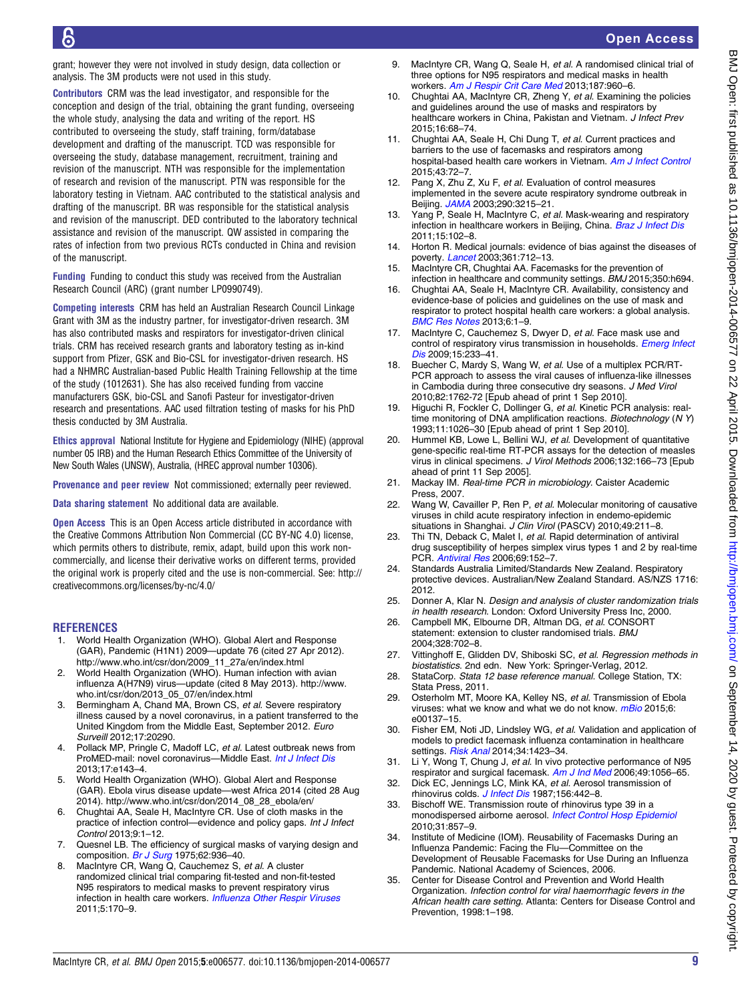<span id="page-8-0"></span>grant; however they were not involved in study design, data collection or analysis. The 3M products were not used in this study.

Contributors CRM was the lead investigator, and responsible for the conception and design of the trial, obtaining the grant funding, overseeing the whole study, analysing the data and writing of the report. HS contributed to overseeing the study, staff training, form/database development and drafting of the manuscript. TCD was responsible for overseeing the study, database management, recruitment, training and revision of the manuscript. NTH was responsible for the implementation of research and revision of the manuscript. PTN was responsible for the laboratory testing in Vietnam. AAC contributed to the statistical analysis and drafting of the manuscript. BR was responsible for the statistical analysis and revision of the manuscript. DED contributed to the laboratory technical assistance and revision of the manuscript. QW assisted in comparing the rates of infection from two previous RCTs conducted in China and revision of the manuscript.

Funding Funding to conduct this study was received from the Australian Research Council (ARC) (grant number LP0990749).

Competing interests CRM has held an Australian Research Council Linkage Grant with 3M as the industry partner, for investigator-driven research. 3M has also contributed masks and respirators for investigator-driven clinical trials. CRM has received research grants and laboratory testing as in-kind support from Pfizer, GSK and Bio-CSL for investigator-driven research. HS had a NHMRC Australian-based Public Health Training Fellowship at the time of the study (1012631). She has also received funding from vaccine manufacturers GSK, bio-CSL and Sanofi Pasteur for investigator-driven research and presentations. AAC used filtration testing of masks for his PhD thesis conducted by 3M Australia.

Ethics approval National Institute for Hygiene and Epidemiology (NIHE) (approval number 05 IRB) and the Human Research Ethics Committee of the University of New South Wales (UNSW), Australia, (HREC approval number 10306).

Provenance and peer review Not commissioned; externally peer reviewed.

Data sharing statement No additional data are available.

Open Access This is an Open Access article distributed in accordance with the Creative Commons Attribution Non Commercial (CC BY-NC 4.0) license, which permits others to distribute, remix, adapt, build upon this work noncommercially, and license their derivative works on different terms, provided the original work is properly cited and the use is non-commercial. See: [http://](http://creativecommons.org/licenses/by-nc/4.0/) [creativecommons.org/licenses/by-nc/4.0/](http://creativecommons.org/licenses/by-nc/4.0/)

#### **REFERENCES**

- World Health Organization (WHO). Global Alert and Response (GAR), Pandemic (H1N1) 2009—update 76 (cited 27 Apr 2012). [http://www.who.int/csr/don/2009\\_11\\_27a/en/index.html](http://www.who.int/csr/don/2009_11_27a/en/index.html)
- 2. World Health Organization (WHO). Human infection with avian influenza A(H7N9) virus—update (cited 8 May 2013). [http://www.](http://www.who.int/csr/don/2013_05_07/en/index.html) [who.int/csr/don/2013\\_05\\_07/en/index.html](http://www.who.int/csr/don/2013_05_07/en/index.html)
- 3. Bermingham A, Chand MA, Brown CS, et al. Severe respiratory illness caused by a novel coronavirus, in a patient transferred to the United Kingdom from the Middle East, September 2012. Euro Surveill 2012;17:20290.
- 4. Pollack MP, Pringle C, Madoff LC, et al. Latest outbreak news from ProMED-mail: novel coronavirus—Middle East. [Int J Infect Dis](http://dx.doi.org/10.1016/j.ijid.2012.12.001) 2013;17:e143–4.
- 5. World Health Organization (WHO). Global Alert and Response (GAR). Ebola virus disease update—west Africa 2014 (cited 28 Aug 2014). [http://www.who.int/csr/don/2014\\_08\\_28\\_ebola/en/](http://www.who.int/csr/don/2014_08_28_ebola/en/)
- 6. Chughtai AA, Seale H, MacIntyre CR. Use of cloth masks in the practice of infection control—evidence and policy gaps. Int J Infect Control 2013;9:1–12.
- 7. Quesnel LB. The efficiency of surgical masks of varying design and composition. [Br J Surg](http://dx.doi.org/10.1002/bjs.1800621203) 1975;62:936-40.
- 8. MacIntyre CR, Wang Q, Cauchemez S, et al. A cluster randomized clinical trial comparing fit-tested and non-fit-tested N95 respirators to medical masks to prevent respiratory virus infection in health care workers. [Influenza Other Respir Viruses](http://dx.doi.org/10.1111/j.1750-2659.2011.00198.x) 2011;5:170–9.
- 9. MacIntyre CR, Wang Q, Seale H, et al. A randomised clinical trial of three options for N95 respirators and medical masks in health workers. [Am J Respir Crit Care Med](http://dx.doi.org/10.1164/rccm.201207-1164OC) 2013;187:960–6.
- 10. Chughtai AA, MacIntyre CR, Zheng Y, et al. Examining the policies and guidelines around the use of masks and respirators by healthcare workers in China, Pakistan and Vietnam. J Infect Prev 2015;16:68–74.
- Chughtai AA, Seale H, Chi Dung T, et al. Current practices and barriers to the use of facemasks and respirators among hospital-based health care workers in Vietnam. [Am J Infect Control](http://dx.doi.org/10.1016/j.ajic.2014.10.009) 2015;43:72–7.
- 12. Pang X, Zhu Z, Xu F, et al. Evaluation of control measures implemented in the severe acute respiratory syndrome outbreak in Beijing. [JAMA](http://dx.doi.org/10.1001/jama.290.24.3215) 2003;290:3215–21.
- 13. Yang P, Seale H, MacIntyre C, et al. Mask-wearing and respiratory infection in healthcare workers in Beijing, China. [Braz J Infect Dis](http://dx.doi.org/10.1016/S1413-8670(11)70153-2) 2011;15:102–8.
- 14. Horton R. Medical journals: evidence of bias against the diseases of poverty. *[Lancet](http://dx.doi.org/10.1016/S0140-6736(03)12665-7)* 2003;361:712-13.
- 15. MacIntyre CR, Chughtai AA. Facemasks for the prevention of infection in healthcare and community settings. BMJ 2015;350:h694.
- 16. Chughtai AA, Seale H, MacIntyre CR. Availability, consistency and evidence-base of policies and guidelines on the use of mask and respirator to protect hospital health care workers: a global analysis. [BMC Res Notes](http://dx.doi.org/10.1186/1756-0500-6-216) 2013;6:1–9.
- 17. MacIntyre C, Cauchemez S, Dwyer D, et al. Face mask use and control of respiratory virus transmission in households. [Emerg Infect](http://dx.doi.org/10.3201/eid1502.081166) [Dis](http://dx.doi.org/10.3201/eid1502.081166) 2009;15:233-41.
- 18. Buecher C, Mardy S, Wang W, et al. Use of a multiplex PCR/RT-PCR approach to assess the viral causes of influenza-like illnesses in Cambodia during three consecutive dry seasons. J Med Virol 2010;82:1762-72 [Epub ahead of print 1 Sep 2010].
- 19. Higuchi R, Fockler C, Dollinger G, et al. Kinetic PCR analysis: realtime monitoring of DNA amplification reactions. Biotechnology (N Y) 1993;11:1026–30 [Epub ahead of print 1 Sep 2010].
- 20. Hummel KB, Lowe L, Bellini WJ, et al. Development of quantitative gene-specific real-time RT-PCR assays for the detection of measles virus in clinical specimens. J Virol Methods 2006;132:166–73 [Epub ahead of print 11 Sep 2005].
- 21. Mackay IM. Real-time PCR in microbiology. Caister Academic Press, 2007.
- 22. Wang W, Cavailler P, Ren P, et al. Molecular monitoring of causative viruses in child acute respiratory infection in endemo-epidemic situations in Shanghai. J Clin Virol (PASCV) 2010;49:211-8.
- 23. Thi TN, Deback C, Malet I, et al. Rapid determination of antiviral drug susceptibility of herpes simplex virus types 1 and 2 by real-time PCR. [Antiviral Res](http://dx.doi.org/10.1016/j.antiviral.2005.11.004) 2006;69:152–7.
- 24. Standards Australia Limited/Standards New Zealand. Respiratory protective devices. Australian/New Zealand Standard. AS/NZS 1716: 2012.
- 25. Donner A, Klar N. Design and analysis of cluster randomization trials in health research. London: Oxford University Press Inc, 2000.
- 26. Campbell MK, Elbourne DR, Altman DG, et al. CONSORT statement: extension to cluster randomised trials. BMJ 2004;328:702–8.
- 27. Vittinghoff E, Glidden DV, Shiboski SC, et al. Regression methods in biostatistics. 2nd edn. New York: Springer-Verlag, 2012.
- 28. StataCorp. Stata 12 base reference manual. College Station, TX: Stata Press, 2011.
- 29. Osterholm MT, Moore KA, Kelley NS, et al. Transmission of Ebola viruses: what we know and what we do not know. [mBio](http://dx.doi.org/10.1128/mBio.00137-15) 2015;6: e00137–15.
- 30. Fisher EM, Noti JD, Lindsley WG, et al. Validation and application of models to predict facemask influenza contamination in healthcare settings. [Risk Anal](http://dx.doi.org/10.1111/risa.12185) 2014;34:1423-34.
- 31. Li Y, Wong T, Chung J, et al. In vivo protective performance of N95 respirator and surgical facemask. [Am J Ind Med](http://dx.doi.org/10.1002/ajim.20395) 2006;49:1056-65.
- 32. Dick EC, Jennings LC, Mink KA, et al. Aerosol transmission of rhinovirus colds. [J Infect Dis](http://dx.doi.org/10.1093/infdis/156.3.442) 1987;156:442-8.
- 33. Bischoff WE. Transmission route of rhinovirus type 39 in a monodispersed airborne aerosol. [Infect Control Hosp Epidemiol](http://dx.doi.org/10.1086/655022) 2010;31:857–9.
- 34. Institute of Medicine (IOM). Reusability of Facemasks During an Influenza Pandemic: Facing the Flu—Committee on the Development of Reusable Facemasks for Use During an Influenza Pandemic. National Academy of Sciences, 2006.
- 35. Center for Disease Control and Prevention and World Health Organization. Infection control for viral haemorrhagic fevers in the African health care setting. Atlanta: Centers for Disease Control and Prevention, 1998:1–198.